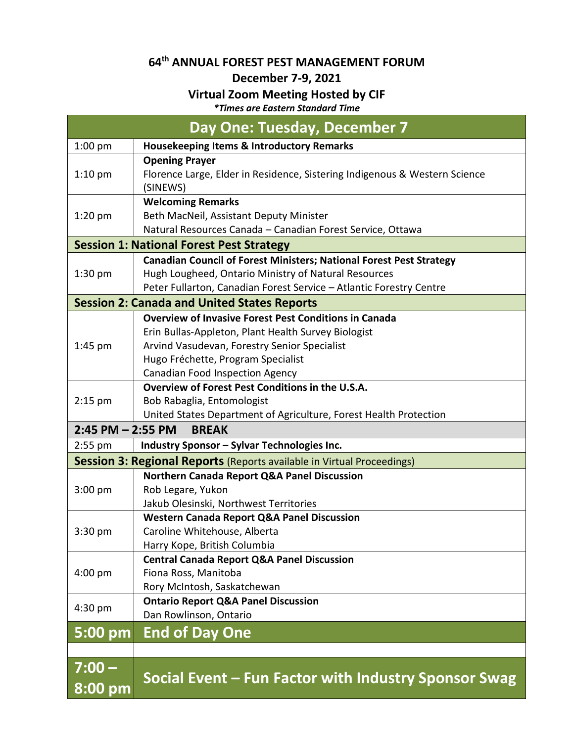## **64th ANNUAL FOREST PEST MANAGEMENT FORUM**

## **December 7-9, 2021**

## **Virtual Zoom Meeting Hosted by CIF**

*\*Times are Eastern Standard Time*

| Day One: Tuesday, December 7                                                  |                                                                                                                             |  |
|-------------------------------------------------------------------------------|-----------------------------------------------------------------------------------------------------------------------------|--|
| $1:00$ pm                                                                     | <b>Housekeeping Items &amp; Introductory Remarks</b>                                                                        |  |
| $1:10$ pm                                                                     | <b>Opening Prayer</b>                                                                                                       |  |
|                                                                               | Florence Large, Elder in Residence, Sistering Indigenous & Western Science                                                  |  |
|                                                                               | (SINEWS)                                                                                                                    |  |
| $1:20$ pm                                                                     | <b>Welcoming Remarks</b>                                                                                                    |  |
|                                                                               | Beth MacNeil, Assistant Deputy Minister                                                                                     |  |
|                                                                               | Natural Resources Canada - Canadian Forest Service, Ottawa                                                                  |  |
| <b>Session 1: National Forest Pest Strategy</b>                               |                                                                                                                             |  |
| $1:30$ pm                                                                     | Canadian Council of Forest Ministers; National Forest Pest Strategy<br>Hugh Lougheed, Ontario Ministry of Natural Resources |  |
|                                                                               | Peter Fullarton, Canadian Forest Service - Atlantic Forestry Centre                                                         |  |
|                                                                               | <b>Session 2: Canada and United States Reports</b>                                                                          |  |
| <b>Overview of Invasive Forest Pest Conditions in Canada</b>                  |                                                                                                                             |  |
|                                                                               | Erin Bullas-Appleton, Plant Health Survey Biologist                                                                         |  |
| $1:45$ pm                                                                     | Arvind Vasudevan, Forestry Senior Specialist                                                                                |  |
|                                                                               | Hugo Fréchette, Program Specialist                                                                                          |  |
|                                                                               | <b>Canadian Food Inspection Agency</b>                                                                                      |  |
|                                                                               | Overview of Forest Pest Conditions in the U.S.A.                                                                            |  |
| $2:15$ pm                                                                     | Bob Rabaglia, Entomologist                                                                                                  |  |
|                                                                               | United States Department of Agriculture, Forest Health Protection                                                           |  |
| $2:45$ PM $- 2:55$ PM<br><b>BREAK</b>                                         |                                                                                                                             |  |
| $2:55$ pm                                                                     | Industry Sponsor - Sylvar Technologies Inc.                                                                                 |  |
| <b>Session 3: Regional Reports</b> (Reports available in Virtual Proceedings) |                                                                                                                             |  |
|                                                                               | <b>Northern Canada Report Q&amp;A Panel Discussion</b>                                                                      |  |
| 3:00 pm                                                                       | Rob Legare, Yukon                                                                                                           |  |
|                                                                               | Jakub Olesinski, Northwest Territories                                                                                      |  |
|                                                                               | <b>Western Canada Report Q&amp;A Panel Discussion</b>                                                                       |  |
| 3:30 pm                                                                       | Caroline Whitehouse, Alberta                                                                                                |  |
|                                                                               | Harry Kope, British Columbia                                                                                                |  |
| $4:00$ pm                                                                     | <b>Central Canada Report Q&amp;A Panel Discussion</b><br>Fiona Ross, Manitoba                                               |  |
|                                                                               | Rory McIntosh, Saskatchewan                                                                                                 |  |
| 4:30 pm                                                                       | <b>Ontario Report Q&amp;A Panel Discussion</b>                                                                              |  |
|                                                                               | Dan Rowlinson, Ontario                                                                                                      |  |
| $5:00$ pm                                                                     | <b>End of Day One</b>                                                                                                       |  |
|                                                                               |                                                                                                                             |  |
| $7:00 -$                                                                      |                                                                                                                             |  |
|                                                                               | Social Event – Fun Factor with Industry Sponsor Swag                                                                        |  |
| 8:00 pm                                                                       |                                                                                                                             |  |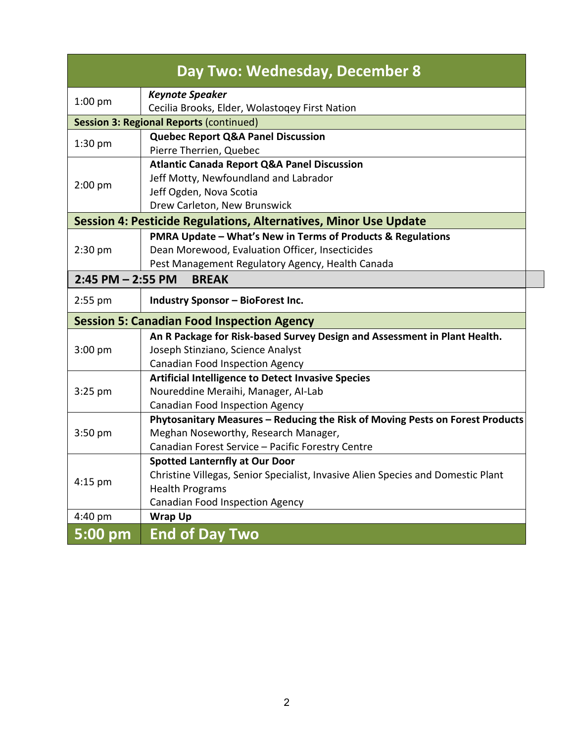| Day Two: Wednesday, December 8                                          |                                                                                  |  |  |
|-------------------------------------------------------------------------|----------------------------------------------------------------------------------|--|--|
| $1:00$ pm                                                               | <b>Keynote Speaker</b>                                                           |  |  |
|                                                                         | Cecilia Brooks, Elder, Wolastoqey First Nation                                   |  |  |
| <b>Session 3: Regional Reports (continued)</b>                          |                                                                                  |  |  |
| 1:30 pm<br>$2:00$ pm                                                    | <b>Quebec Report Q&amp;A Panel Discussion</b>                                    |  |  |
|                                                                         | Pierre Therrien, Quebec                                                          |  |  |
|                                                                         | <b>Atlantic Canada Report Q&amp;A Panel Discussion</b>                           |  |  |
|                                                                         | Jeff Motty, Newfoundland and Labrador                                            |  |  |
|                                                                         | Jeff Ogden, Nova Scotia                                                          |  |  |
|                                                                         | Drew Carleton, New Brunswick                                                     |  |  |
| <b>Session 4: Pesticide Regulations, Alternatives, Minor Use Update</b> |                                                                                  |  |  |
|                                                                         | PMRA Update - What's New in Terms of Products & Regulations                      |  |  |
| $2:30$ pm                                                               | Dean Morewood, Evaluation Officer, Insecticides                                  |  |  |
|                                                                         | Pest Management Regulatory Agency, Health Canada                                 |  |  |
| <b>BREAK</b><br>$2:45$ PM $- 2:55$ PM                                   |                                                                                  |  |  |
| 2:55 pm                                                                 | <b>Industry Sponsor - BioForest Inc.</b>                                         |  |  |
| <b>Session 5: Canadian Food Inspection Agency</b>                       |                                                                                  |  |  |
| 3:00 pm                                                                 | An R Package for Risk-based Survey Design and Assessment in Plant Health.        |  |  |
|                                                                         | Joseph Stinziano, Science Analyst                                                |  |  |
|                                                                         | <b>Canadian Food Inspection Agency</b>                                           |  |  |
|                                                                         | <b>Artificial Intelligence to Detect Invasive Species</b>                        |  |  |
| 3:25 pm                                                                 | Noureddine Meraihi, Manager, Al-Lab                                              |  |  |
|                                                                         | <b>Canadian Food Inspection Agency</b>                                           |  |  |
| $3:50$ pm                                                               | Phytosanitary Measures - Reducing the Risk of Moving Pests on Forest Products    |  |  |
|                                                                         | Meghan Noseworthy, Research Manager,                                             |  |  |
|                                                                         | Canadian Forest Service - Pacific Forestry Centre                                |  |  |
| 4:15 pm                                                                 | <b>Spotted Lanternfly at Our Door</b>                                            |  |  |
|                                                                         | Christine Villegas, Senior Specialist, Invasive Alien Species and Domestic Plant |  |  |
|                                                                         | <b>Health Programs</b>                                                           |  |  |
|                                                                         | <b>Canadian Food Inspection Agency</b>                                           |  |  |
| 4:40 pm                                                                 | <b>Wrap Up</b>                                                                   |  |  |
| 5:00 pm                                                                 | <b>End of Day Two</b>                                                            |  |  |